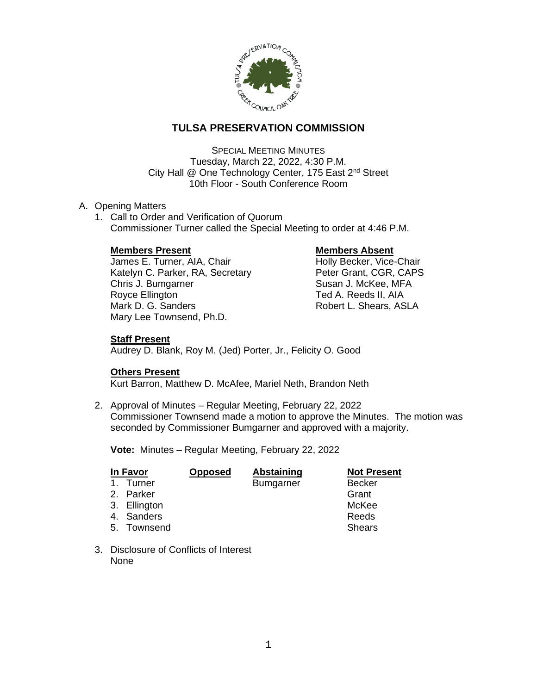

# **TULSA PRESERVATION COMMISSION**

SPECIAL MEETING MINUTES Tuesday, March 22, 2022, 4:30 P.M. City Hall @ One Technology Center, 175 East 2<sup>nd</sup> Street 10th Floor - South Conference Room

# A. Opening Matters

1. Call to Order and Verification of Quorum Commissioner Turner called the Special Meeting to order at 4:46 P.M.

# **Members Present Constraining Members Absent**

James E. Turner, AIA, Chair **Holly Becker, Vice-Chair** Katelyn C. Parker, RA, Secretary Peter Grant, CGR, CAPS Chris J. Bumgarner Susan J. McKee, MFA Royce Ellington **Ted A. Reeds II, AIA**<br>Mark D. G. Sanders **The Contract Control Control** Robert L. Shears, AS Mary Lee Townsend, Ph.D.

Robert L. Shears, ASLA

# **Staff Present**

Audrey D. Blank, Roy M. (Jed) Porter, Jr., Felicity O. Good

# **Others Present**

Kurt Barron, Matthew D. McAfee, Mariel Neth, Brandon Neth

2. Approval of Minutes – Regular Meeting, February 22, 2022 Commissioner Townsend made a motion to approve the Minutes. The motion was seconded by Commissioner Bumgarner and approved with a majority.

**Vote:** Minutes – Regular Meeting, February 22, 2022

| In Favor |              | <b>Opposed</b> | Abstaining       | <b>Not Present</b> |
|----------|--------------|----------------|------------------|--------------------|
|          | 1. Turner    |                | <b>Bumgarner</b> | <b>Becker</b>      |
|          | 2. Parker    |                |                  | Grant              |
|          | 3. Ellington |                |                  | McKee              |
|          | 4. Sanders   |                |                  | Reeds              |
|          | 5. Townsend  |                |                  | <b>Shears</b>      |

3. Disclosure of Conflicts of Interest None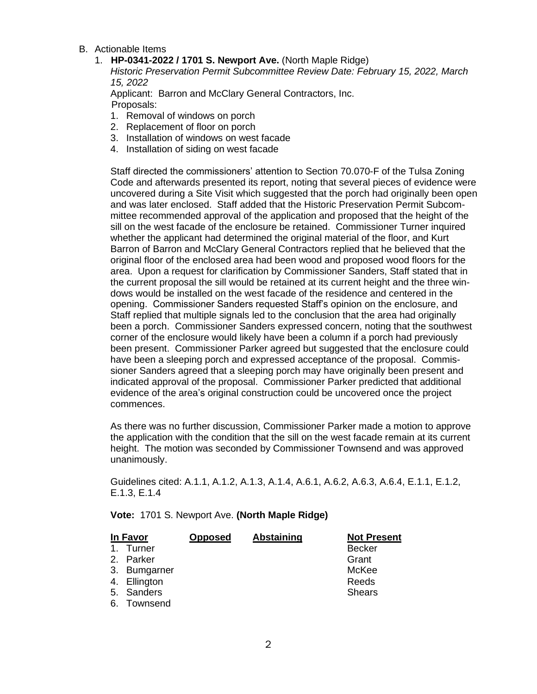- B. Actionable Items
	- 1. **HP-0341-2022 / 1701 S. Newport Ave.** (North Maple Ridge)

*Historic Preservation Permit Subcommittee Review Date: February 15, 2022, March 15, 2022*

Applicant: Barron and McClary General Contractors, Inc. Proposals:

- 1. Removal of windows on porch
- 2. Replacement of floor on porch
- 3. Installation of windows on west facade
- 4. Installation of siding on west facade

Staff directed the commissioners' attention to Section 70.070-F of the Tulsa Zoning Code and afterwards presented its report, noting that several pieces of evidence were uncovered during a Site Visit which suggested that the porch had originally been open and was later enclosed. Staff added that the Historic Preservation Permit Subcommittee recommended approval of the application and proposed that the height of the sill on the west facade of the enclosure be retained. Commissioner Turner inquired whether the applicant had determined the original material of the floor, and Kurt Barron of Barron and McClary General Contractors replied that he believed that the original floor of the enclosed area had been wood and proposed wood floors for the area. Upon a request for clarification by Commissioner Sanders, Staff stated that in the current proposal the sill would be retained at its current height and the three windows would be installed on the west facade of the residence and centered in the opening. Commissioner Sanders requested Staff's opinion on the enclosure, and Staff replied that multiple signals led to the conclusion that the area had originally been a porch. Commissioner Sanders expressed concern, noting that the southwest corner of the enclosure would likely have been a column if a porch had previously been present. Commissioner Parker agreed but suggested that the enclosure could have been a sleeping porch and expressed acceptance of the proposal. Commissioner Sanders agreed that a sleeping porch may have originally been present and indicated approval of the proposal. Commissioner Parker predicted that additional evidence of the area's original construction could be uncovered once the project commences.

As there was no further discussion, Commissioner Parker made a motion to approve the application with the condition that the sill on the west facade remain at its current height. The motion was seconded by Commissioner Townsend and was approved unanimously.

Guidelines cited: A.1.1, A.1.2, A.1.3, A.1.4, A.6.1, A.6.2, A.6.3, A.6.4, E.1.1, E.1.2, E.1.3, E.1.4

**Vote:** 1701 S. Newport Ave. **(North Maple Ridge)**

| In Favor       |              | <b>Opposed</b> | <b>Abstaining</b> | <b>Not Present</b> |
|----------------|--------------|----------------|-------------------|--------------------|
| $\mathbf{1}$ . | Turner       |                |                   | <b>Becker</b>      |
|                | 2. Parker    |                |                   | Grant              |
|                | 3. Bumgarner |                |                   | McKee              |
|                | 4. Ellington |                |                   | Reeds              |
|                | 5. Sanders   |                |                   | <b>Shears</b>      |
|                | 6. Townsend  |                |                   |                    |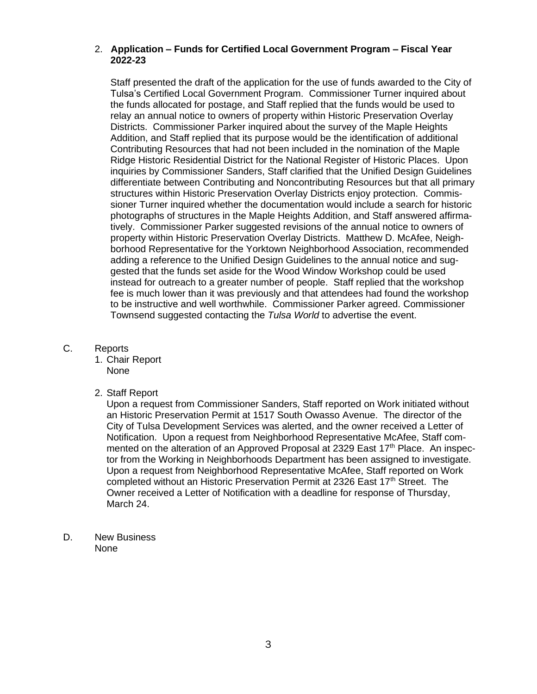#### 2. **Application – Funds for Certified Local Government Program – Fiscal Year 2022-23**

Staff presented the draft of the application for the use of funds awarded to the City of Tulsa's Certified Local Government Program. Commissioner Turner inquired about the funds allocated for postage, and Staff replied that the funds would be used to relay an annual notice to owners of property within Historic Preservation Overlay Districts. Commissioner Parker inquired about the survey of the Maple Heights Addition, and Staff replied that its purpose would be the identification of additional Contributing Resources that had not been included in the nomination of the Maple Ridge Historic Residential District for the National Register of Historic Places. Upon inquiries by Commissioner Sanders, Staff clarified that the Unified Design Guidelines differentiate between Contributing and Noncontributing Resources but that all primary structures within Historic Preservation Overlay Districts enjoy protection. Commissioner Turner inquired whether the documentation would include a search for historic photographs of structures in the Maple Heights Addition, and Staff answered affirmatively. Commissioner Parker suggested revisions of the annual notice to owners of property within Historic Preservation Overlay Districts. Matthew D. McAfee, Neighborhood Representative for the Yorktown Neighborhood Association, recommended adding a reference to the Unified Design Guidelines to the annual notice and suggested that the funds set aside for the Wood Window Workshop could be used instead for outreach to a greater number of people. Staff replied that the workshop fee is much lower than it was previously and that attendees had found the workshop to be instructive and well worthwhile. Commissioner Parker agreed. Commissioner Townsend suggested contacting the *Tulsa World* to advertise the event.

### C. Reports

- 1. Chair Report None
- 2. Staff Report

Upon a request from Commissioner Sanders, Staff reported on Work initiated without an Historic Preservation Permit at 1517 South Owasso Avenue. The director of the City of Tulsa Development Services was alerted, and the owner received a Letter of Notification. Upon a request from Neighborhood Representative McAfee, Staff commented on the alteration of an Approved Proposal at 2329 East 17<sup>th</sup> Place. An inspector from the Working in Neighborhoods Department has been assigned to investigate. Upon a request from Neighborhood Representative McAfee, Staff reported on Work completed without an Historic Preservation Permit at 2326 East 17<sup>th</sup> Street. The Owner received a Letter of Notification with a deadline for response of Thursday, March 24.

D. New Business None